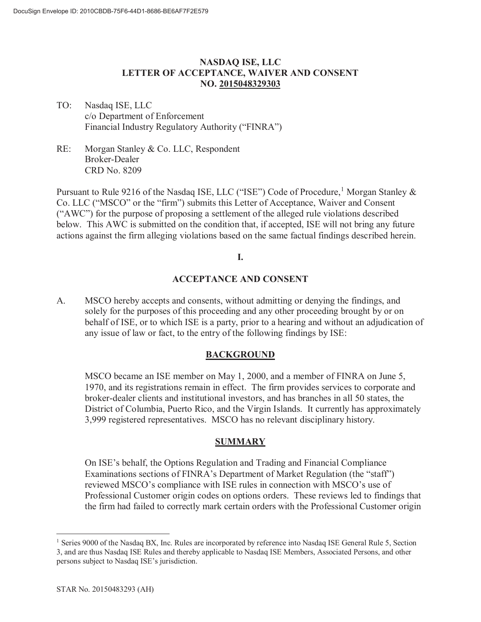# **NASDAQ ISE, LLC LETTER OF ACCEPTANCE, WAIVER AND CONSENT NO. 2015048329303**

- TO: Nasdaq ISE, LLC c/o Department of Enforcement Financial Industry Regulatory Authority ("FINRA")
- RE: Morgan Stanley & Co. LLC, Respondent Broker-Dealer CRD No. 8209

Pursuant to Rule 9216 of the Nasdaq ISE, LLC ("ISE") Code of Procedure,<sup>1</sup> Morgan Stanley  $\&$ Co. LLC ("MSCO" or the "firm") submits this Letter of Acceptance, Waiver and Consent ("AWC") for the purpose of proposing a settlement of the alleged rule violations described below. This AWC is submitted on the condition that, if accepted, ISE will not bring any future actions against the firm alleging violations based on the same factual findings described herein.

#### **I.**

#### **ACCEPTANCE AND CONSENT**

A. MSCO hereby accepts and consents, without admitting or denying the findings, and solely for the purposes of this proceeding and any other proceeding brought by or on behalf of ISE, or to which ISE is a party, prior to a hearing and without an adjudication of any issue of law or fact, to the entry of the following findings by ISE:

#### **BACKGROUND**

MSCO became an ISE member on May 1, 2000, and a member of FINRA on June 5, 1970, and its registrations remain in effect. The firm provides services to corporate and broker-dealer clients and institutional investors, and has branches in all 50 states, the District of Columbia, Puerto Rico, and the Virgin Islands. It currently has approximately 3,999 registered representatives. MSCO has no relevant disciplinary history.

# **SUMMARY**

On ISE's behalf, the Options Regulation and Trading and Financial Compliance Examinations sections of FINRA's Department of Market Regulation (the "staff") reviewed MSCO's compliance with ISE rules in connection with MSCO's use of Professional Customer origin codes on options orders. These reviews led to findings that the firm had failed to correctly mark certain orders with the Professional Customer origin

<sup>&</sup>lt;sup>1</sup> Series 9000 of the Nasdaq BX, Inc. Rules are incorporated by reference into Nasdaq ISE General Rule 5, Section 3, and are thus Nasdaq ISE Rules and thereby applicable to Nasdaq ISE Members, Associated Persons, and other persons subject to Nasdaq ISE's jurisdiction.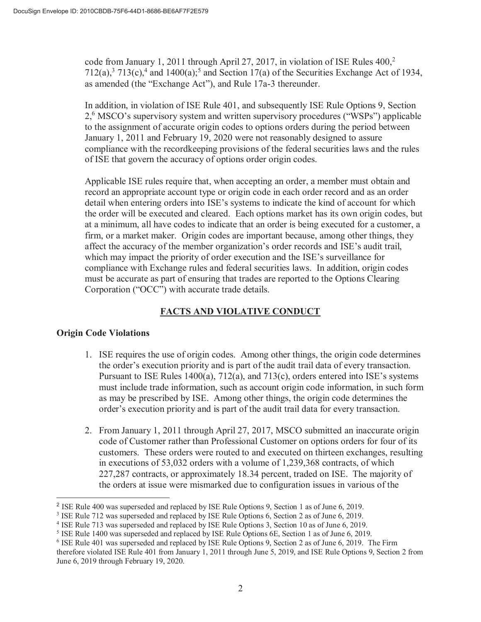code from January 1, 2011 through April 27, 2017, in violation of ISE Rules  $400<sup>2</sup>$  $712(a)$ ,<sup>3</sup>  $713(c)$ ,<sup>4</sup> and  $1400(a)$ ;<sup>5</sup> and Section 17(a) of the Securities Exchange Act of 1934, as amended (the "Exchange Act"), and Rule 17a-3 thereunder.

In addition, in violation of ISE Rule 401, and subsequently ISE Rule Options 9, Section 2,<sup>6</sup> MSCO's supervisory system and written supervisory procedures ("WSPs") applicable to the assignment of accurate origin codes to options orders during the period between January 1, 2011 and February 19, 2020 were not reasonably designed to assure compliance with the recordkeeping provisions of the federal securities laws and the rules of ISE that govern the accuracy of options order origin codes.

Applicable ISE rules require that, when accepting an order, a member must obtain and record an appropriate account type or origin code in each order record and as an order detail when entering orders into ISE's systems to indicate the kind of account for which the order will be executed and cleared. Each options market has its own origin codes, but at a minimum, all have codes to indicate that an order is being executed for a customer, a firm, or a market maker. Origin codes are important because, among other things, they affect the accuracy of the member organization's order records and ISE's audit trail, which may impact the priority of order execution and the ISE's surveillance for compliance with Exchange rules and federal securities laws. In addition, origin codes must be accurate as part of ensuring that trades are reported to the Options Clearing Corporation ("OCC") with accurate trade details.

# **FACTS AND VIOLATIVE CONDUCT**

# **Origin Code Violations**

- 1. ISE requires the use of origin codes. Among other things, the origin code determines the order's execution priority and is part of the audit trail data of every transaction. Pursuant to ISE Rules 1400(a), 712(a), and 713(c), orders entered into ISE's systems must include trade information, such as account origin code information, in such form as may be prescribed by ISE. Among other things, the origin code determines the order's execution priority and is part of the audit trail data for every transaction.
- 2. From January 1, 2011 through April 27, 2017, MSCO submitted an inaccurate origin code of Customer rather than Professional Customer on options orders for four of its customers. These orders were routed to and executed on thirteen exchanges, resulting in executions of 53,032 orders with a volume of 1,239,368 contracts, of which 227,287 contracts, or approximately 18.34 percent, traded on ISE. The majority of the orders at issue were mismarked due to configuration issues in various of the

<sup>2</sup> ISE Rule 400 was superseded and replaced by ISE Rule Options 9, Section 1 as of June 6, 2019.

<sup>3</sup> ISE Rule 712 was superseded and replaced by ISE Rule Options 6, Section 2 as of June 6, 2019.

<sup>4</sup> ISE Rule 713 was superseded and replaced by ISE Rule Options 3, Section 10 as of June 6, 2019.

<sup>5</sup> ISE Rule 1400 was superseded and replaced by ISE Rule Options 6E, Section 1 as of June 6, 2019.

<sup>6</sup> ISE Rule 401 was superseded and replaced by ISE Rule Options 9, Section 2 as of June 6, 2019. The Firm therefore violated ISE Rule 401 from January 1, 2011 through June 5, 2019, and ISE Rule Options 9, Section 2 from June 6, 2019 through February 19, 2020.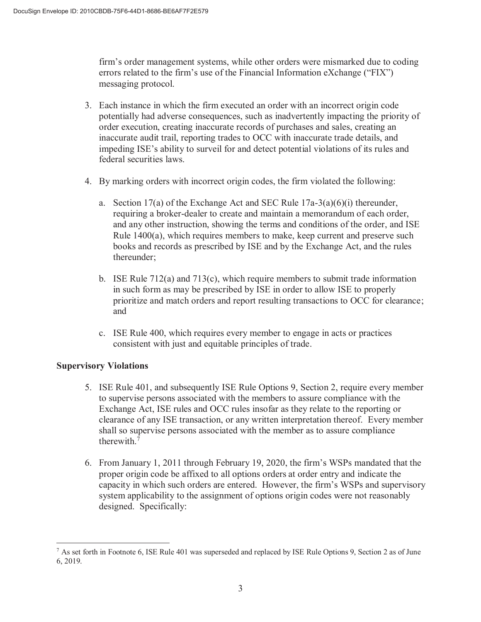firm's order management systems, while other orders were mismarked due to coding errors related to the firm's use of the Financial Information eXchange ("FIX") messaging protocol.

- 3. Each instance in which the firm executed an order with an incorrect origin code potentially had adverse consequences, such as inadvertently impacting the priority of order execution, creating inaccurate records of purchases and sales, creating an inaccurate audit trail, reporting trades to OCC with inaccurate trade details, and impeding ISE's ability to surveil for and detect potential violations of its rules and federal securities laws.
- 4. By marking orders with incorrect origin codes, the firm violated the following:
	- a. Section 17(a) of the Exchange Act and SEC Rule  $17a-3(a)(6)(i)$  thereunder, requiring a broker-dealer to create and maintain a memorandum of each order, and any other instruction, showing the terms and conditions of the order, and ISE Rule 1400(a), which requires members to make, keep current and preserve such books and records as prescribed by ISE and by the Exchange Act, and the rules thereunder;
	- b. ISE Rule  $712(a)$  and  $713(c)$ , which require members to submit trade information in such form as may be prescribed by ISE in order to allow ISE to properly prioritize and match orders and report resulting transactions to OCC for clearance; and
	- c. ISE Rule 400, which requires every member to engage in acts or practices consistent with just and equitable principles of trade.

# **Supervisory Violations**

- 5. ISE Rule 401, and subsequently ISE Rule Options 9, Section 2, require every member to supervise persons associated with the members to assure compliance with the Exchange Act, ISE rules and OCC rules insofar as they relate to the reporting or clearance of any ISE transaction, or any written interpretation thereof. Every member shall so supervise persons associated with the member as to assure compliance therewith.<sup>7</sup>
- 6. From January 1, 2011 through February 19, 2020, the firm's WSPs mandated that the proper origin code be affixed to all options orders at order entry and indicate the capacity in which such orders are entered. However, the firm's WSPs and supervisory system applicability to the assignment of options origin codes were not reasonably designed. Specifically:

<sup>7</sup> As set forth in Footnote 6, ISE Rule 401 was superseded and replaced by ISE Rule Options 9, Section 2 as of June 6, 2019.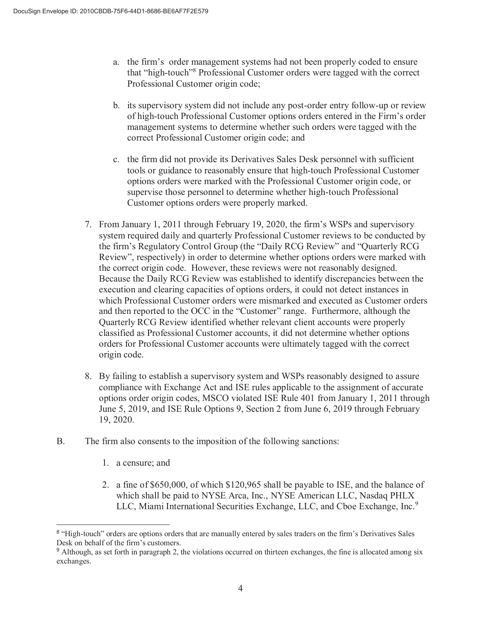- a. the firm's order management systems had not been properly coded to ensure that "high-touch"<sup>8</sup> Professional Customer orders were tagged with the correct Professional Customer origin code;
- b. its supervisory system did not include any post-order entry follow-up or review of high-touch Professional Customer options orders entered in the Firm's order management systems to determine whether such orders were tagged with the correct Professional Customer origin code; and
- c. the firm did not provide its Derivatives Sales Desk personnel with sufficient tools or guidance to reasonably ensure that high-touch Professional Customer options orders were marked with the Professional Customer origin code, or supervise those personnel to determine whether high-touch Professional Customer options orders were properly marked.
- 7. From January 1, 2011 through February 19, 2020, the firm's WSPs and supervisory system required daily and quarterly Professional Customer reviews to be conducted by the firm's Regulatory Control Group (the "Daily RCG Review" and "Quarterly RCG Review", respectively) in order to determine whether options orders were marked with the correct origin code. However, these reviews were not reasonably designed. Because the Daily RCG Review was established to identify discrepancies between the execution and clearing capacities of options orders, it could not detect instances in which Professional Customer orders were mismarked and executed as Customer orders and then reported to the OCC in the "Customer" range. Furthermore, although the Quarterly RCG Review identified whether relevant client accounts were properly classified as Professional Customer accounts, it did not determine whether options orders for Professional Customer accounts were ultimately tagged with the correct origin code.
- 8. By failing to establish a supervisory system and WSPs reasonably designed to assure compliance with Exchange Act and ISE rules applicable to the assignment of accurate options order origin codes, MSCO violated ISE Rule 401 from January 1, 2011 through June 5, 2019, and ISE Rule Options 9, Section 2 from June 6, 2019 through February 19, 2020.
- B. The firm also consents to the imposition of the following sanctions:
	- 1. a censure; and
	- 2. a fine of \$650,000, of which \$120,965 shall be payable to ISE, and the balance of which shall be paid to NYSE Arca, Inc., NYSE American LLC, Nasdaq PHLX LLC, Miami International Securities Exchange, LLC, and Cboe Exchange, Inc.<sup>9</sup>

<sup>&</sup>lt;sup>8</sup> "High-touch" orders are options orders that are manually entered by sales traders on the firm's Derivatives Sales Desk on behalf of the firm's customers.

<sup>9</sup> Although, as set forth in paragraph 2, the violations occurred on thirteen exchanges, the fine is allocated among six exchanges.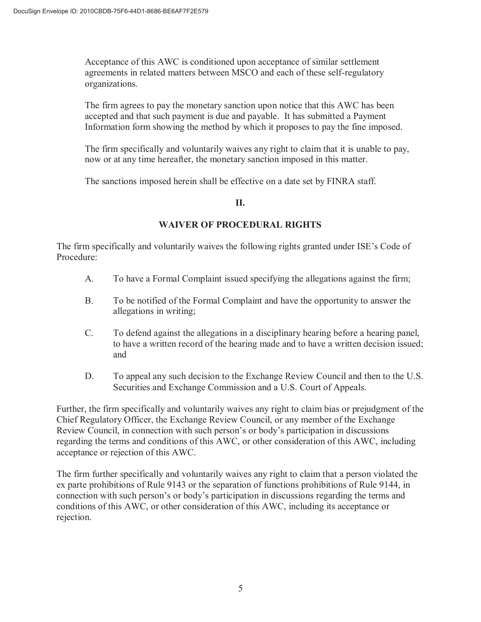Acceptance of this AWC is conditioned upon acceptance of similar settlement agreements in related matters between MSCO and each of these self-regulatory organizations.

The firm agrees to pay the monetary sanction upon notice that this AWC has been accepted and that such payment is due and payable. It has submitted a Payment Information form showing the method by which it proposes to pay the fine imposed.

The firm specifically and voluntarily waives any right to claim that it is unable to pay, now or at any time hereafter, the monetary sanction imposed in this matter.

The sanctions imposed herein shall be effective on a date set by FINRA staff.

### **II.**

# **WAIVER OF PROCEDURAL RIGHTS**

The firm specifically and voluntarily waives the following rights granted under ISE's Code of Procedure:

- A. To have a Formal Complaint issued specifying the allegations against the firm;
- B. To be notified of the Formal Complaint and have the opportunity to answer the allegations in writing;
- C. To defend against the allegations in a disciplinary hearing before a hearing panel, to have a written record of the hearing made and to have a written decision issued; and
- D. To appeal any such decision to the Exchange Review Council and then to the U.S. Securities and Exchange Commission and a U.S. Court of Appeals.

Further, the firm specifically and voluntarily waives any right to claim bias or prejudgment of the Chief Regulatory Officer, the Exchange Review Council, or any member of the Exchange Review Council, in connection with such person's or body's participation in discussions regarding the terms and conditions of this AWC, or other consideration of this AWC, including acceptance or rejection of this AWC.

The firm further specifically and voluntarily waives any right to claim that a person violated the ex parte prohibitions of Rule 9143 or the separation of functions prohibitions of Rule 9144, in connection with such person's or body's participation in discussions regarding the terms and conditions of this AWC, or other consideration of this AWC, including its acceptance or rejection.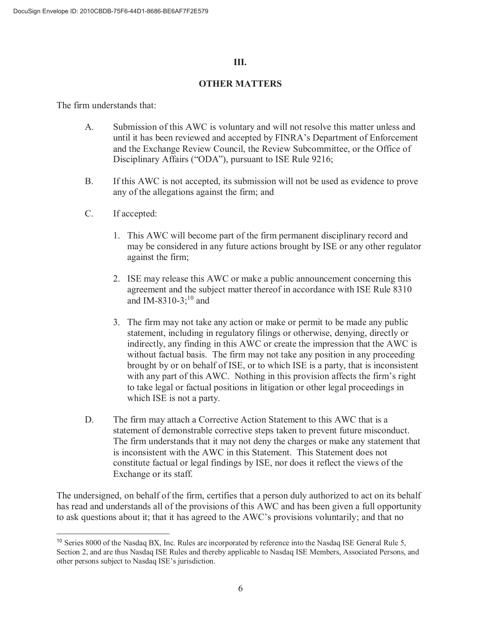### **III.**

#### **OTHER MATTERS**

The firm understands that:

- A. Submission of this AWC is voluntary and will not resolve this matter unless and until it has been reviewed and accepted by FINRA's Department of Enforcement and the Exchange Review Council, the Review Subcommittee, or the Office of Disciplinary Affairs ("ODA"), pursuant to ISE Rule 9216;
- B. If this AWC is not accepted, its submission will not be used as evidence to prove any of the allegations against the firm; and
- C. If accepted:
	- 1. This AWC will become part of the firm permanent disciplinary record and may be considered in any future actions brought by ISE or any other regulator against the firm;
	- 2. ISE may release this AWC or make a public announcement concerning this agreement and the subject matter thereof in accordance with ISE Rule 8310 and IM-8310-3; $^{10}$  and
	- 3. The firm may not take any action or make or permit to be made any public statement, including in regulatory filings or otherwise, denying, directly or indirectly, any finding in this AWC or create the impression that the AWC is without factual basis. The firm may not take any position in any proceeding brought by or on behalf of ISE, or to which ISE is a party, that is inconsistent with any part of this AWC. Nothing in this provision affects the firm's right to take legal or factual positions in litigation or other legal proceedings in which ISE is not a party.
- D. The firm may attach a Corrective Action Statement to this AWC that is a statement of demonstrable corrective steps taken to prevent future misconduct. The firm understands that it may not deny the charges or make any statement that is inconsistent with the AWC in this Statement. This Statement does not constitute factual or legal findings by ISE, nor does it reflect the views of the Exchange or its staff.

The undersigned, on behalf of the firm, certifies that a person duly authorized to act on its behalf has read and understands all of the provisions of this AWC and has been given a full opportunity to ask questions about it; that it has agreed to the AWC's provisions voluntarily; and that no

<sup>&</sup>lt;sup>10</sup> Series 8000 of the Nasdaq BX, Inc. Rules are incorporated by reference into the Nasdaq ISE General Rule 5, Section 2, and are thus Nasdaq ISE Rules and thereby applicable to Nasdaq ISE Members, Associated Persons, and other persons subject to Nasdaq ISE's jurisdiction.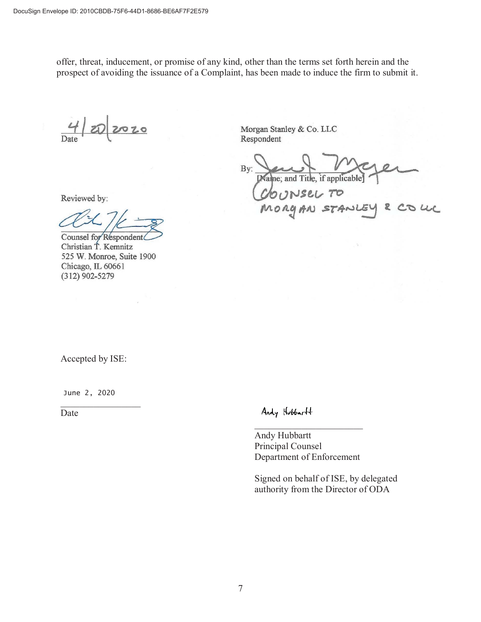offer, threat, inducement, or promise of any kind, other than the terms set forth herein and the prospect of avoiding the issuance of a Complaint, has been made to induce the firm to submit it.

2020

Reviewed by:

Counsel for Respondent Christian T. Kemnitz 525 W. Monroe, Suite 1900 Chicago, IL 60661  $(312)$  902-5279

Morgan Stanley & Co. LLC Respondent

By: Name; and Title, if applicable  $ch$  $\nu$ sel

MORGAN STANLEY & COLL

Accepted by ISE:

June 2, 2020

Date

Andy Hubbartt

Andy Hubbartt Principal Counsel Department of Enforcement

Signed on behalf of ISE, by delegated authority from the Director of ODA